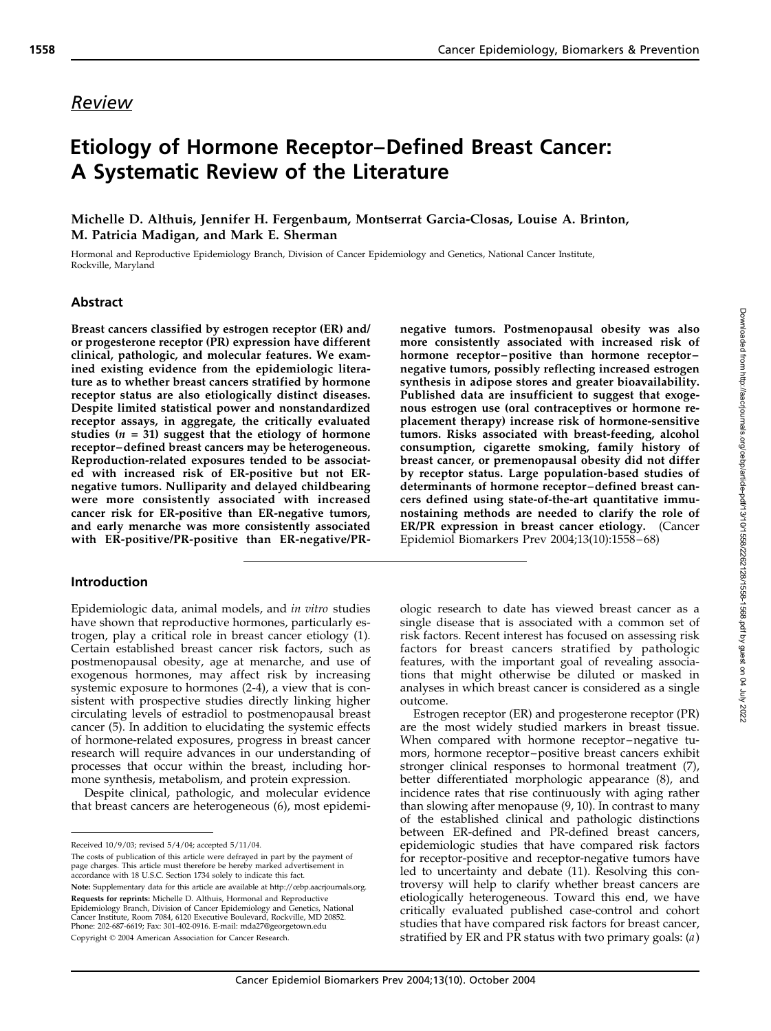# Etiology of Hormone Receptor–Defined Breast Cancer: A Systematic Review of the Literature

Michelle D. Althuis, Jennifer H. Fergenbaum, Montserrat Garcia-Closas, Louise A. Brinton, M. Patricia Madigan, and Mark E. Sherman

Hormonal and Reproductive Epidemiology Branch, Division of Cancer Epidemiology and Genetics, National Cancer Institute, Rockville, Maryland

### Abstract

Breast cancers classified by estrogen receptor (ER) and/ or progesterone receptor (PR) expression have different clinical, pathologic, and molecular features. We examined existing evidence from the epidemiologic literature as to whether breast cancers stratified by hormone receptor status are also etiologically distinct diseases. Despite limited statistical power and nonstandardized receptor assays, in aggregate, the critically evaluated studies ( $n = 31$ ) suggest that the etiology of hormone receptor–defined breast cancers may be heterogeneous. Reproduction-related exposures tended to be associated with increased risk of ER-positive but not ERnegative tumors. Nulliparity and delayed childbearing were more consistently associated with increased cancer risk for ER-positive than ER-negative tumors, and early menarche was more consistently associated with ER-positive/PR-positive than ER-negative/PR-

#### Introduction

Epidemiologic data, animal models, and in vitro studies have shown that reproductive hormones, particularly estrogen, play a critical role in breast cancer etiology (1). Certain established breast cancer risk factors, such as postmenopausal obesity, age at menarche, and use of exogenous hormones, may affect risk by increasing systemic exposure to hormones (2-4), a view that is consistent with prospective studies directly linking higher circulating levels of estradiol to postmenopausal breast cancer (5). In addition to elucidating the systemic effects of hormone-related exposures, progress in breast cancer research will require advances in our understanding of processes that occur within the breast, including hormone synthesis, metabolism, and protein expression.

Despite clinical, pathologic, and molecular evidence that breast cancers are heterogeneous (6), most epidemi-

The costs of publication of this article were defrayed in part by the payment of page charges. This article must therefore be hereby marked advertisement in accordance with 18 U.S.C. Section 1734 solely to indicate this fact. Note: Supplementary data for this article are available at http://cebp.aacrjournals.org. Requests for reprints: Michelle D. Althuis, Hormonal and Reproductive Epidemiology Branch, Division of Cancer Epidemiology and Genetics, National Cancer Institute, Room 7084, 6120 Executive Boulevard, Rockville, MD 20852. Phone: 202-687-6619; Fax: 301-402-0916. E-mail: mda27@georgetown.edu Copyright © 2004 American Association for Cancer Research.

negative tumors. Postmenopausal obesity was also more consistently associated with increased risk of hormone receptor–positive than hormone receptor– negative tumors, possibly reflecting increased estrogen synthesis in adipose stores and greater bioavailability. Published data are insufficient to suggest that exogenous estrogen use (oral contraceptives or hormone replacement therapy) increase risk of hormone-sensitive tumors. Risks associated with breast-feeding, alcohol consumption, cigarette smoking, family history of breast cancer, or premenopausal obesity did not differ by receptor status. Large population-based studies of determinants of hormone receptor–defined breast cancers defined using state-of-the-art quantitative immunostaining methods are needed to clarify the role of ER/PR expression in breast cancer etiology. (Cancer Epidemiol Biomarkers Prev 2004;13(10):1558–68)

ologic research to date has viewed breast cancer as a single disease that is associated with a common set of risk factors. Recent interest has focused on assessing risk factors for breast cancers stratified by pathologic features, with the important goal of revealing associations that might otherwise be diluted or masked in analyses in which breast cancer is considered as a single outcome.

Estrogen receptor (ER) and progesterone receptor (PR) are the most widely studied markers in breast tissue. When compared with hormone receptor–negative tumors, hormone receptor–positive breast cancers exhibit stronger clinical responses to hormonal treatment (7), better differentiated morphologic appearance (8), and incidence rates that rise continuously with aging rather than slowing after menopause (9, 10). In contrast to many of the established clinical and pathologic distinctions between ER-defined and PR-defined breast cancers, epidemiologic studies that have compared risk factors for receptor-positive and receptor-negative tumors have led to uncertainty and debate (11). Resolving this controversy will help to clarify whether breast cancers are etiologically heterogeneous. Toward this end, we have critically evaluated published case-control and cohort studies that have compared risk factors for breast cancer, stratified by ER and PR status with two primary goals:  $(a)$ 

Received 10/9/03; revised 5/4/04; accepted 5/11/04.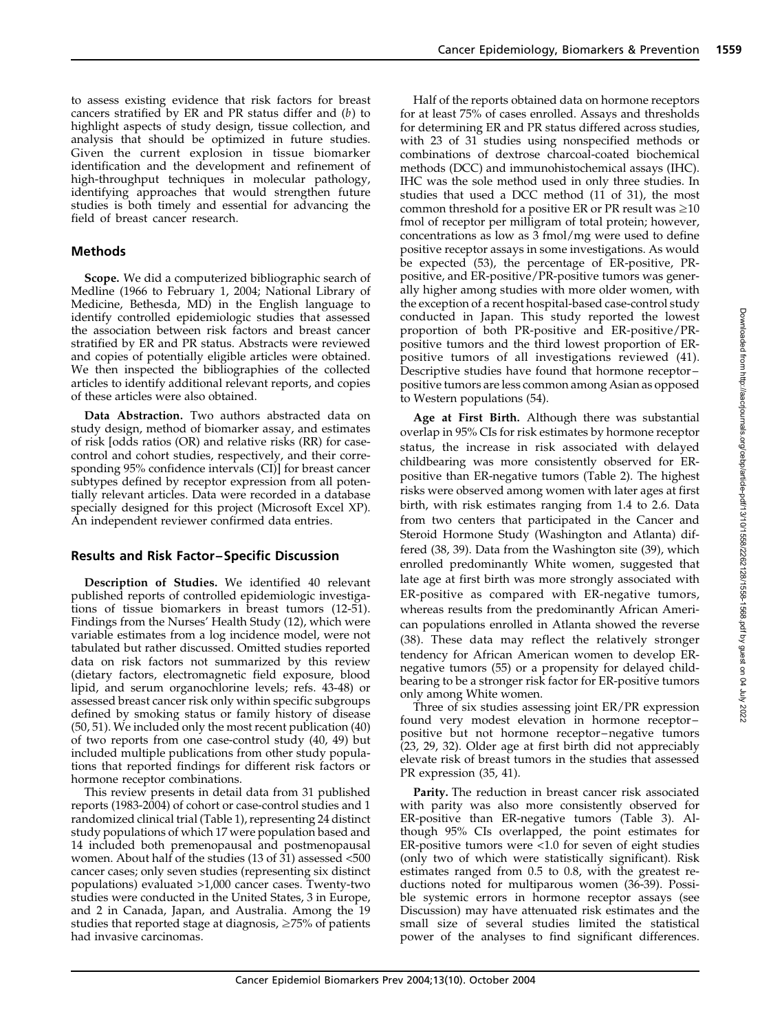to assess existing evidence that risk factors for breast cancers stratified by ER and PR status differ and (b) to highlight aspects of study design, tissue collection, and analysis that should be optimized in future studies. Given the current explosion in tissue biomarker identification and the development and refinement of high-throughput techniques in molecular pathology, identifying approaches that would strengthen future studies is both timely and essential for advancing the field of breast cancer research.

# Methods

Scope. We did a computerized bibliographic search of Medline (1966 to February 1, 2004; National Library of Medicine, Bethesda, MD) in the English language to identify controlled epidemiologic studies that assessed the association between risk factors and breast cancer stratified by ER and PR status. Abstracts were reviewed and copies of potentially eligible articles were obtained. We then inspected the bibliographies of the collected articles to identify additional relevant reports, and copies of these articles were also obtained.

Data Abstraction. Two authors abstracted data on study design, method of biomarker assay, and estimates of risk [odds ratios (OR) and relative risks (RR) for casecontrol and cohort studies, respectively, and their corresponding 95% confidence intervals (CI)] for breast cancer subtypes defined by receptor expression from all potentially relevant articles. Data were recorded in a database specially designed for this project (Microsoft Excel XP). An independent reviewer confirmed data entries.

# Results and Risk Factor–Specific Discussion

Description of Studies. We identified 40 relevant published reports of controlled epidemiologic investigations of tissue biomarkers in breast tumors (12-51). Findings from the Nurses' Health Study (12), which were variable estimates from a log incidence model, were not tabulated but rather discussed. Omitted studies reported data on risk factors not summarized by this review (dietary factors, electromagnetic field exposure, blood lipid, and serum organochlorine levels; refs. 43-48) or assessed breast cancer risk only within specific subgroups defined by smoking status or family history of disease (50, 51). We included only the most recent publication (40) of two reports from one case-control study (40, 49) but included multiple publications from other study populations that reported findings for different risk factors or hormone receptor combinations.

This review presents in detail data from 31 published reports (1983-2004) of cohort or case-control studies and 1 randomized clinical trial (Table 1), representing 24 distinct study populations of which 17 were population based and 14 included both premenopausal and postmenopausal women. About half of the studies (13 of 31) assessed <500 cancer cases; only seven studies (representing six distinct populations) evaluated >1,000 cancer cases. Twenty-two studies were conducted in the United States, 3 in Europe, and 2 in Canada, Japan, and Australia. Among the 19 studies that reported stage at diagnosis,  $\geq$ 75% of patients had invasive carcinomas.

Half of the reports obtained data on hormone receptors for at least 75% of cases enrolled. Assays and thresholds for determining ER and PR status differed across studies, with 23 of 31 studies using nonspecified methods or combinations of dextrose charcoal-coated biochemical methods (DCC) and immunohistochemical assays (IHC). IHC was the sole method used in only three studies. In studies that used a DCC method (11 of 31), the most common threshold for a positive ER or PR result was  $\geq 10$ fmol of receptor per milligram of total protein; however, concentrations as low as 3 fmol/mg were used to define positive receptor assays in some investigations. As would be expected (53), the percentage of ER-positive, PRpositive, and ER-positive/PR-positive tumors was generally higher among studies with more older women, with the exception of a recent hospital-based case-control study conducted in Japan. This study reported the lowest proportion of both PR-positive and ER-positive/PRpositive tumors and the third lowest proportion of ERpositive tumors of all investigations reviewed (41). Descriptive studies have found that hormone receptor– positive tumors are less common among Asian as opposed to Western populations (54).

Age at First Birth. Although there was substantial overlap in 95% CIs for risk estimates by hormone receptor status, the increase in risk associated with delayed childbearing was more consistently observed for ERpositive than ER-negative tumors (Table 2). The highest risks were observed among women with later ages at first birth, with risk estimates ranging from 1.4 to 2.6. Data from two centers that participated in the Cancer and Steroid Hormone Study (Washington and Atlanta) differed (38, 39). Data from the Washington site (39), which enrolled predominantly White women, suggested that late age at first birth was more strongly associated with ER-positive as compared with ER-negative tumors, whereas results from the predominantly African American populations enrolled in Atlanta showed the reverse (38). These data may reflect the relatively stronger tendency for African American women to develop ERnegative tumors (55) or a propensity for delayed childbearing to be a stronger risk factor for ER-positive tumors only among White women.

Three of six studies assessing joint ER/PR expression found very modest elevation in hormone receptor– positive but not hormone receptor–negative tumors (23, 29, 32). Older age at first birth did not appreciably elevate risk of breast tumors in the studies that assessed PR expression (35, 41).

Parity. The reduction in breast cancer risk associated with parity was also more consistently observed for ER-positive than ER-negative tumors (Table 3). Although 95% CIs overlapped, the point estimates for ER-positive tumors were <1.0 for seven of eight studies (only two of which were statistically significant). Risk estimates ranged from 0.5 to 0.8, with the greatest reductions noted for multiparous women (36-39). Possible systemic errors in hormone receptor assays (see Discussion) may have attenuated risk estimates and the small size of several studies limited the statistical power of the analyses to find significant differences.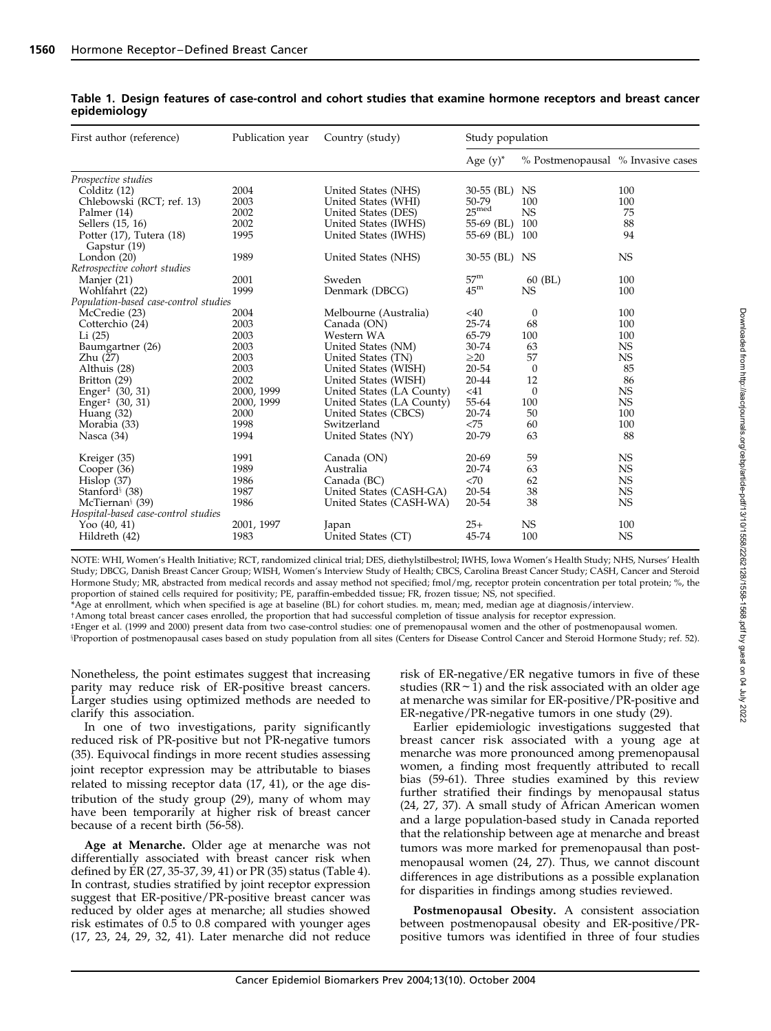| First author (reference)                 | Publication year | Country (study)           | Study population  |                                   |           |
|------------------------------------------|------------------|---------------------------|-------------------|-----------------------------------|-----------|
|                                          |                  |                           | Age $(y)^*$       | % Postmenopausal % Invasive cases |           |
| Prospective studies                      |                  |                           |                   |                                   |           |
| Colditz (12)                             | 2004             | United States (NHS)       | 30-55 (BL)        | NS.                               | 100       |
| Chlebowski (RCT; ref. 13)                | 2003             | United States (WHI)       | 50-79             | 100                               | 100       |
| Palmer (14)                              | 2002             | United States (DES)       | $25^{\text{med}}$ | <b>NS</b>                         | 75        |
| Sellers (15, 16)                         | 2002             | United States (IWHS)      | 55-69 (BL)        | 100                               | 88        |
| Potter (17), Tutera (18)                 | 1995             | United States (IWHS)      | 55-69 (BL)        | 100                               | 94        |
| Gapstur (19)                             |                  |                           |                   |                                   |           |
| London $(20)$                            | 1989             | United States (NHS)       | 30-55 (BL) NS     |                                   | <b>NS</b> |
| Retrospective cohort studies             |                  |                           |                   |                                   |           |
| Manjer (21)                              | 2001             | Sweden                    | 57 <sup>m</sup>   | $60$ (BL)                         | 100       |
| Wohlfahrt (22)                           | 1999             | Denmark (DBCG)            | 45 <sup>m</sup>   | <b>NS</b>                         | 100       |
| Population-based case-control studies    |                  |                           |                   |                                   |           |
| McCredie (23)                            | 2004             | Melbourne (Australia)     | $<$ 40            | 0                                 | 100       |
| Cotterchio (24)                          | 2003             | Canada (ON)               | 25-74             | 68                                | 100       |
| Li(25)                                   | 2003             | Western WA                | 65-79             | 100                               | 100       |
| Baumgartner (26)                         | 2003             | United States (NM)        | 30-74             | 63                                | <b>NS</b> |
| Zhu (27)                                 | 2003             | United States (TN)        | $\geq$ 20         | 57                                | <b>NS</b> |
| Althuis (28)                             | 2003             | United States (WISH)      | 20-54             | $\theta$                          | 85        |
| Britton (29)                             | 2002             | United States (WISH)      | 20-44             | 12                                | 86        |
| Enger <sup><math>±</math></sup> (30, 31) | 2000, 1999       | United States (LA County) | < 41              | $\theta$                          | <b>NS</b> |
| Enger <sup><math>±</math></sup> (30, 31) | 2000, 1999       | United States (LA County) | 55-64             | 100                               | <b>NS</b> |
| Huang (32)                               | 2000             | United States (CBCS)      | 20-74             | 50                                | 100       |
| Morabia (33)                             | 1998             | Switzerland               | <75               | 60                                | 100       |
| Nasca (34)                               | 1994             | United States (NY)        | 20-79             | 63                                | 88        |
| Kreiger (35)                             | 1991             | Canada (ON)               | $20 - 69$         | 59                                | <b>NS</b> |
| Cooper (36)                              | 1989             | Australia                 | 20-74             | 63                                | <b>NS</b> |
| Hislop(37)                               | 1986             | Canada (BC)               | <70               | 62                                | <b>NS</b> |
| Stanford <sup>§</sup> (38)               | 1987             | United States (CASH-GA)   | 20-54             | 38                                | <b>NS</b> |
| McTiernan <sup>§</sup> (39)              | 1986             | United States (CASH-WA)   | 20-54             | 38                                | <b>NS</b> |
| Hospital-based case-control studies      |                  |                           |                   |                                   |           |
| Yoo $(40, 41)$                           | 2001, 1997       | Japan                     | $25+$             | NS.                               | 100       |
| Hildreth (42)                            | 1983             | United States (CT)        | 45-74             | 100                               | <b>NS</b> |
|                                          |                  |                           |                   |                                   |           |

#### Table 1. Design features of case-control and cohort studies that examine hormone receptors and breast cancer epidemiology

NOTE: WHI, Women's Health Initiative; RCT, randomized clinical trial; DES, diethylstilbestrol; IWHS, Iowa Women's Health Study; NHS, Nurses' Health Study; DBCG, Danish Breast Cancer Group; WISH, Women's Interview Study of Health; CBCS, Carolina Breast Cancer Study; CASH, Cancer and Steroid Hormone Study; MR, abstracted from medical records and assay method not specified; fmol/mg, receptor protein concentration per total protein; %, the proportion of stained cells required for positivity; PE, paraffin-embedded tissue; FR, frozen tissue; NS, not specified.

\*Age at enrollment, which when specified is age at baseline (BL) for cohort studies. m, mean; med, median age at diagnosis/interview.

\*Among total breast cancer cases enrolled, the proportion that had successful completion of tissue analysis for receptor expression.

bEnger et al. (1999 and 2000) present data from two case-control studies: one of premenopausal women and the other of postmenopausal women. <sup>§</sup>Proportion of postmenopausal cases based on study population from all sites (Centers for Disease Control Cancer and Steroid Hormone Study; ref. 52).

Nonetheless, the point estimates suggest that increasing parity may reduce risk of ER-positive breast cancers. Larger studies using optimized methods are needed to clarify this association.

In one of two investigations, parity significantly reduced risk of PR-positive but not PR-negative tumors (35). Equivocal findings in more recent studies assessing joint receptor expression may be attributable to biases related to missing receptor data (17, 41), or the age distribution of the study group (29), many of whom may have been temporarily at higher risk of breast cancer because of a recent birth (56-58).

Age at Menarche. Older age at menarche was not differentially associated with breast cancer risk when defined by ER (27, 35-37, 39, 41) or PR (35) status (Table 4). In contrast, studies stratified by joint receptor expression suggest that ER-positive/PR-positive breast cancer was reduced by older ages at menarche; all studies showed risk estimates of 0.5 to 0.8 compared with younger ages (17, 23, 24, 29, 32, 41). Later menarche did not reduce risk of ER-negative/ER negative tumors in five of these studies ( $RR \sim 1$ ) and the risk associated with an older age at menarche was similar for ER-positive/PR-positive and ER-negative/PR-negative tumors in one study (29).

Earlier epidemiologic investigations suggested that breast cancer risk associated with a young age at menarche was more pronounced among premenopausal women, a finding most frequently attributed to recall bias (59-61). Three studies examined by this review further stratified their findings by menopausal status (24, 27, 37). A small study of African American women and a large population-based study in Canada reported that the relationship between age at menarche and breast tumors was more marked for premenopausal than postmenopausal women (24, 27). Thus, we cannot discount differences in age distributions as a possible explanation for disparities in findings among studies reviewed.

Postmenopausal Obesity. A consistent association between postmenopausal obesity and ER-positive/PRpositive tumors was identified in three of four studies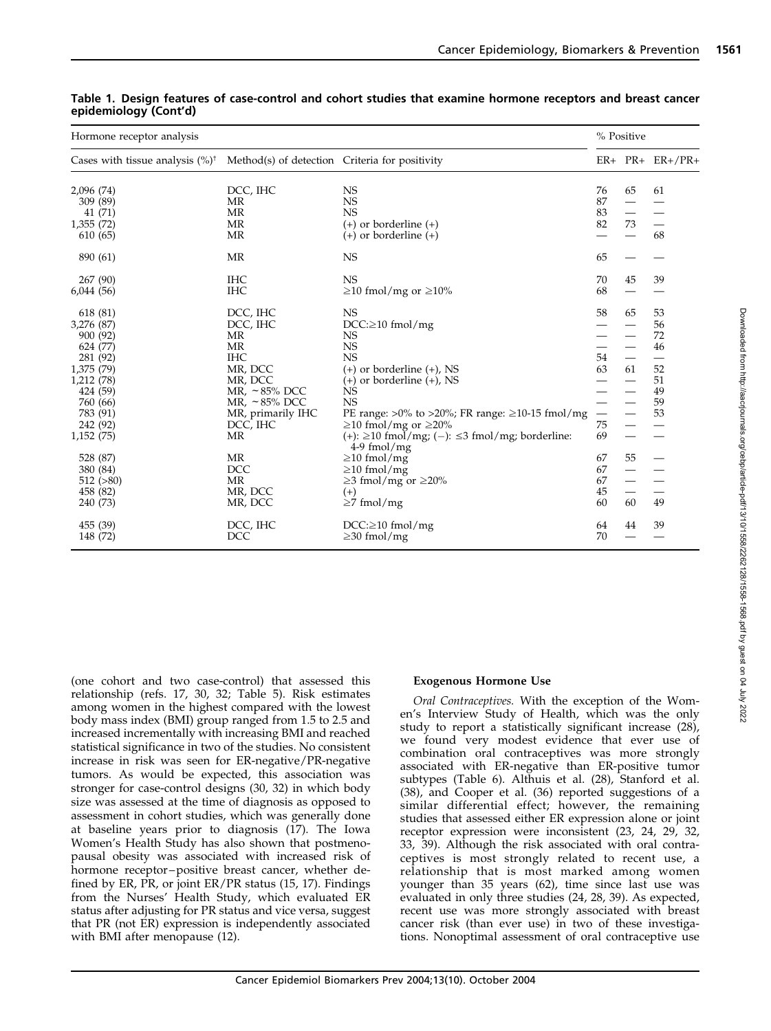| Method(s) of detection Criteria for positivity<br>Cases with tissue analysis $(\%)^{\dagger}$   |    |                          |                          |
|-------------------------------------------------------------------------------------------------|----|--------------------------|--------------------------|
|                                                                                                 |    |                          | $ER+ PR+ ER+/PR+$        |
| DCC, IHC<br><b>NS</b><br>2,096 (74)                                                             | 76 | 65                       | 61                       |
| <b>NS</b><br>MR<br>309 (89)                                                                     | 87 |                          |                          |
| <b>MR</b><br><b>NS</b><br>41 (71)                                                               | 83 | $\equiv$                 | $\overline{\phantom{0}}$ |
| <b>MR</b><br>1,355 (72)<br>$(+)$ or borderline $(+)$                                            | 82 | 73                       |                          |
| <b>MR</b><br>$(+)$ or borderline $(+)$<br>610 (65)                                              |    |                          | 68                       |
| MR<br><b>NS</b><br>890 (61)                                                                     | 65 |                          |                          |
| <b>IHC</b><br><b>NS</b><br>267 (90)                                                             | 70 | 45                       | 39                       |
| <b>IHC</b><br>6,044(56)<br>$\geq$ 10 fmol/mg or $\geq$ 10%                                      | 68 |                          |                          |
| DCC, IHC<br>618 (81)<br><b>NS</b>                                                               | 58 | 65                       | 53                       |
| 3,276 (87)<br>DCC, IHC<br>$DCC: \geq 10$ fmol/mg                                                |    |                          | 56                       |
| <b>MR</b><br>900 (92)<br>NS                                                                     |    |                          | 72                       |
| <b>MR</b><br><b>NS</b><br>624 (77)                                                              |    |                          | 46                       |
| <b>IHC</b><br><b>NS</b><br>281 (92)                                                             | 54 | $\overline{\phantom{0}}$ | $\overline{\phantom{0}}$ |
| MR, DCC<br>$(+)$ or borderline $(+)$ , NS<br>1,375 (79)                                         | 63 | 61                       | 52                       |
| MR, DCC<br>1,212 (78)<br>$(+)$ or borderline $(+)$ , NS                                         |    |                          | 51                       |
| MR, $\sim$ 85% DCC<br>NS<br>424 (59)                                                            |    |                          | 49                       |
| <b>NS</b><br>760 (66)<br>MR, $\sim$ 85% DCC                                                     |    |                          | 59                       |
| 783 (91)<br>MR, primarily IHC<br>PE range: $>0\%$ to $>20\%$ ; FR range: $\geq 10$ -15 fmol/mg  |    |                          | 53                       |
| $\geq$ 10 fmol/mg or $\geq$ 20%<br>DCC, IHC<br>242 (92)                                         | 75 |                          |                          |
| MR<br>(+): $\geq$ 10 fmol/mg; (-): $\leq$ 3 fmol/mg; borderline:<br>1,152 (75)<br>$4-9$ fmol/mg | 69 |                          |                          |
| MR<br>528 (87)<br>$\geq$ 10 fmol/mg                                                             | 67 | 55                       |                          |
| <b>DCC</b><br>380 (84)<br>$\geq$ 10 fmol/mg                                                     | 67 |                          |                          |
| MR<br>$512 \; ( >80)$<br>$\geq$ 3 fmol/mg or $\geq$ 20%                                         | 67 |                          |                          |
| MR, DCC<br>458 (82)<br>$(+)$                                                                    | 45 | $\overline{\phantom{0}}$ |                          |
| MR, DCC<br>240 (73)<br>$\geq$ 7 fmol/mg                                                         | 60 | 60                       | 49                       |
| DCC, IHC<br>455 (39)<br>$DCC: \geq 10$ fmol/mg                                                  | 64 | 44                       | 39                       |
| 148 (72)<br><b>DCC</b><br>$\geq$ 30 fmol/mg                                                     | 70 |                          |                          |

| Table 1. Design features of case-control and cohort studies that examine hormone receptors and breast cancer |  |  |  |  |
|--------------------------------------------------------------------------------------------------------------|--|--|--|--|
| epidemiology (Cont'd)                                                                                        |  |  |  |  |

(one cohort and two case-control) that assessed this relationship (refs. 17, 30, 32; Table 5). Risk estimates among women in the highest compared with the lowest body mass index (BMI) group ranged from 1.5 to 2.5 and increased incrementally with increasing BMI and reached statistical significance in two of the studies. No consistent increase in risk was seen for ER-negative/PR-negative tumors. As would be expected, this association was stronger for case-control designs (30, 32) in which body size was assessed at the time of diagnosis as opposed to assessment in cohort studies, which was generally done at baseline years prior to diagnosis (17). The Iowa Women's Health Study has also shown that postmenopausal obesity was associated with increased risk of hormone receptor–positive breast cancer, whether defined by ER, PR, or joint ER/PR status (15, 17). Findings from the Nurses' Health Study, which evaluated ER status after adjusting for PR status and vice versa, suggest that PR (not ER) expression is independently associated with BMI after menopause (12).

#### Exogenous Hormone Use

Oral Contraceptives. With the exception of the Women's Interview Study of Health, which was the only study to report a statistically significant increase (28), we found very modest evidence that ever use of combination oral contraceptives was more strongly associated with ER-negative than ER-positive tumor subtypes (Table 6). Althuis et al. (28), Stanford et al. (38), and Cooper et al. (36) reported suggestions of a similar differential effect; however, the remaining studies that assessed either ER expression alone or joint receptor expression were inconsistent (23, 24, 29, 32, 33, 39). Although the risk associated with oral contraceptives is most strongly related to recent use, a relationship that is most marked among women younger than 35 years (62), time since last use was evaluated in only three studies (24, 28, 39). As expected, recent use was more strongly associated with breast cancer risk (than ever use) in two of these investigations. Nonoptimal assessment of oral contraceptive use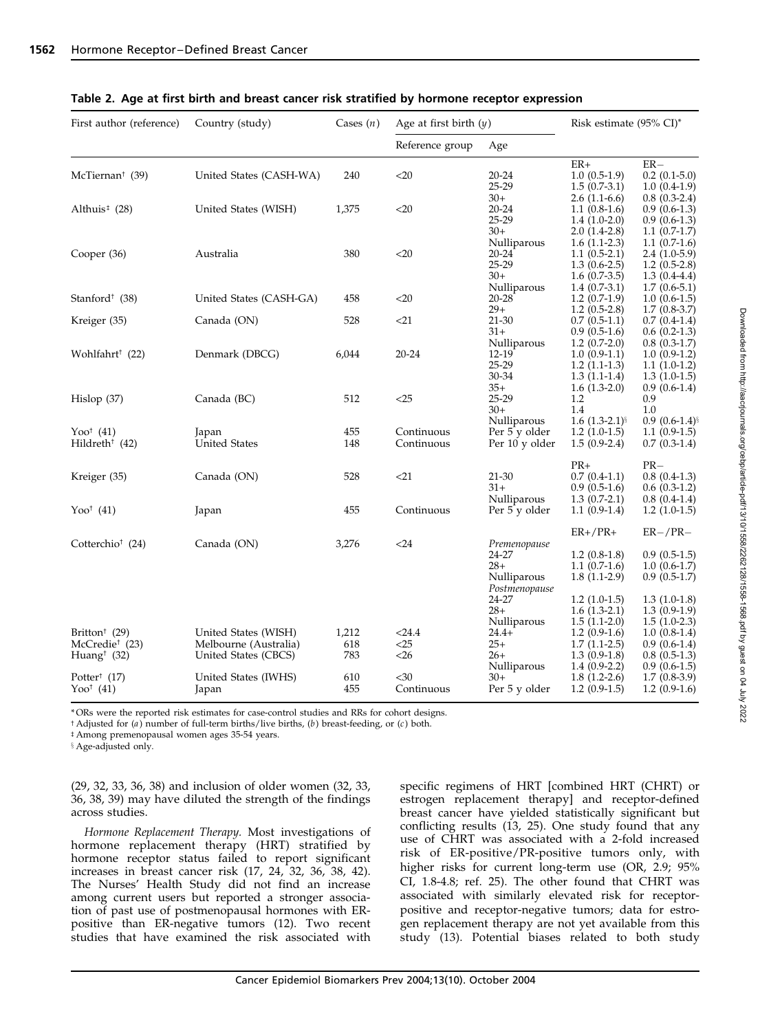| First author (reference)                                                             | Country (study)                                                       | Cases $(n)$         | Age at first birth $(y)$   |                                                               | Risk estimate $(95\% \text{ CI})^*$                                                    |                                                                                        |
|--------------------------------------------------------------------------------------|-----------------------------------------------------------------------|---------------------|----------------------------|---------------------------------------------------------------|----------------------------------------------------------------------------------------|----------------------------------------------------------------------------------------|
|                                                                                      |                                                                       |                     | Reference group            | Age                                                           |                                                                                        |                                                                                        |
| McTiernan <sup>†</sup> (39)                                                          | United States (CASH-WA)                                               | 240                 | $<$ 20                     | $20 - 24$<br>$25 - 29$                                        | $ER+$<br>$1.0(0.5-1.9)$<br>$1.5(0.7-3.1)$                                              | $ER-$<br>$0.2(0.1-5.0)$<br>$1.0(0.4-1.9)$                                              |
| Althuis <sup>‡</sup> (28)                                                            | United States (WISH)                                                  | 1,375               | $<$ 20                     | $30+$<br>$20 - 24$<br>$25 - 29$                               | $2.6(1.1-6.6)$<br>$1.1(0.8-1.6)$<br>$1.4(1.0-2.0)$                                     | $0.8(0.3-2.4)$<br>$0.9(0.6-1.3)$<br>$0.9(0.6-1.3)$                                     |
| Cooper (36)                                                                          | Australia                                                             | 380                 | $<$ 20                     | $30+$<br>Nulliparous<br>$20 - 24$<br>$25 - 29$<br>$30+$       | $2.0(1.4-2.8)$<br>$1.6(1.1-2.3)$<br>$1.1(0.5-2.1)$<br>$1.3(0.6-2.5)$<br>$1.6(0.7-3.5)$ | $1.1(0.7-1.7)$<br>$1.1(0.7-1.6)$<br>$2.4(1.0-5.9)$<br>$1.2(0.5-2.8)$<br>$1.3(0.4-4.4)$ |
| Stanford <sup><math>†</math></sup> (38)                                              | United States (CASH-GA)                                               | 458                 | $<$ 20                     | Nulliparous<br>$20 - 28$<br>$29+$                             | $1.4(0.7-3.1)$<br>$1.2(0.7-1.9)$<br>$1.2(0.5-2.8)$                                     | $1.7(0.6-5.1)$<br>$1.0(0.6-1.5)$<br>$1.7(0.8-3.7)$                                     |
| Kreiger (35)                                                                         | Canada (ON)                                                           | 528                 | $<$ 21                     | $21 - 30$<br>$31+$                                            | $0.7(0.5-1.1)$<br>$0.9(0.5-1.6)$                                                       | $0.7(0.4-1.4)$<br>$0.6(0.2-1.3)$                                                       |
| Wohlfahrt† (22)                                                                      | Denmark (DBCG)                                                        | 6,044               | $20 - 24$                  | Nulliparous<br>12-19<br>25-29<br>30-34                        | $1.2(0.7-2.0)$<br>$1.0(0.9-1.1)$<br>$1.2(1.1-1.3)$<br>$1.3(1.1-1.4)$                   | $0.8(0.3-1.7)$<br>$1.0(0.9-1.2)$<br>$1.1(1.0-1.2)$<br>$1.3(1.0-1.5)$                   |
| Hislop(37)                                                                           | Canada (BC)                                                           | 512                 | $<$ 25                     | $35+$<br>25-29<br>$30+$                                       | $1.6(1.3-2.0)$<br>1.2<br>1.4                                                           | $0.9(0.6-1.4)$<br>0.9<br>1.0                                                           |
| Yoo <sup>†</sup> $(41)$<br>Hildreth <sup>†</sup> (42)                                | Japan<br><b>United States</b>                                         | 455<br>148          | Continuous<br>Continuous   | Nulliparous<br>Per 5 y older<br>Per 10 y older                | 1.6 $(1.3-2.1)$<br>$1.2(1.0-1.5)$<br>$1.5(0.9-2.4)$                                    | $0.9(0.6-1.4)$<br>$1.1(0.9-1.5)$<br>$0.7(0.3-1.4)$                                     |
| Kreiger (35)                                                                         | Canada (ON)                                                           | 528                 | $<$ 21                     | 21-30<br>$31+$                                                | $PR+$<br>$0.7(0.4-1.1)$<br>$0.9(0.5-1.6)$                                              | $PR-$<br>$0.8(0.4-1.3)$<br>$0.6(0.3-1.2)$                                              |
| Yoo <sup>†</sup> $(41)$                                                              | Japan                                                                 | 455                 | Continuous                 | Nulliparous<br>Per 5 y older                                  | $1.3(0.7-2.1)$<br>$1.1(0.9-1.4)$                                                       | $0.8(0.4-1.4)$<br>$1.2(1.0-1.5)$                                                       |
| Cotterchio <sup>†</sup> (24)                                                         | Canada (ON)                                                           | 3,276               | $24$                       | Premenopause<br>24-27<br>$28+$                                | $ER+/PR+$<br>$1.2(0.8-1.8)$<br>$1.1(0.7-1.6)$                                          | $ER-/PR-$<br>$0.9(0.5-1.5)$<br>$1.0(0.6-1.7)$                                          |
|                                                                                      |                                                                       |                     |                            | Nulliparous<br>Postmenopause<br>24-27<br>$28+$<br>Nulliparous | $1.8(1.1-2.9)$<br>$1.2(1.0-1.5)$<br>$1.6(1.3-2.1)$<br>$1.5(1.1-2.0)$                   | $0.9(0.5-1.7)$<br>$1.3(1.0-1.8)$<br>$1.3(0.9-1.9)$<br>$1.5(1.0-2.3)$                   |
| Britton <sup>†</sup> (29)<br>McCredie <sup>†</sup> (23)<br>Huang <sup>†</sup> $(32)$ | United States (WISH)<br>Melbourne (Australia)<br>United States (CBCS) | 1,212<br>618<br>783 | < 24.4<br>$<$ 25<br>$<$ 26 | $24.4+$<br>$25+$<br>$26+$                                     | $1.2(0.9-1.6)$<br>$1.7(1.1-2.5)$<br>$1.3(0.9-1.8)$                                     | $1.0(0.8-1.4)$<br>$0.9(0.6-1.4)$<br>$0.8(0.5-1.3)$                                     |
| Potter <sup>†</sup> $(17)$<br>Yoo <sup>†</sup> $(41)$                                | United States (IWHS)<br>Japan                                         | 610<br>455          | $30$<br>Continuous         | Nulliparous<br>$30+$<br>Per 5 y older                         | $1.4(0.9-2.2)$<br>$1.8(1.2-2.6)$<br>$1.2(0.9-1.5)$                                     | $0.9(0.6-1.5)$<br>$1.7(0.8-3.9)$<br>$1.2(0.9-1.6)$                                     |

Table 2. Age at first birth and breast cancer risk stratified by hormone receptor expression

\* ORs were the reported risk estimates for case-control studies and RRs for cohort designs.

 $\dagger$  Adjusted for (a) number of full-term births/live births, (b) breast-feeding, or (c) both.

 $\dagger$  Among premenopausal women ages 35-54 years.

**8** Age-adjusted only.

(29, 32, 33, 36, 38) and inclusion of older women (32, 33, 36, 38, 39) may have diluted the strength of the findings across studies.

Hormone Replacement Therapy. Most investigations of hormone replacement therapy (HRT) stratified by hormone receptor status failed to report significant increases in breast cancer risk (17, 24, 32, 36, 38, 42). The Nurses' Health Study did not find an increase among current users but reported a stronger association of past use of postmenopausal hormones with ERpositive than ER-negative tumors (12). Two recent studies that have examined the risk associated with specific regimens of HRT [combined HRT (CHRT) or estrogen replacement therapy] and receptor-defined breast cancer have yielded statistically significant but conflicting results (13, 25). One study found that any use of CHRT was associated with a 2-fold increased risk of ER-positive/PR-positive tumors only, with higher risks for current long-term use (OR, 2.9; 95% CI, 1.8-4.8; ref. 25). The other found that CHRT was associated with similarly elevated risk for receptorpositive and receptor-negative tumors; data for estrogen replacement therapy are not yet available from this study (13). Potential biases related to both study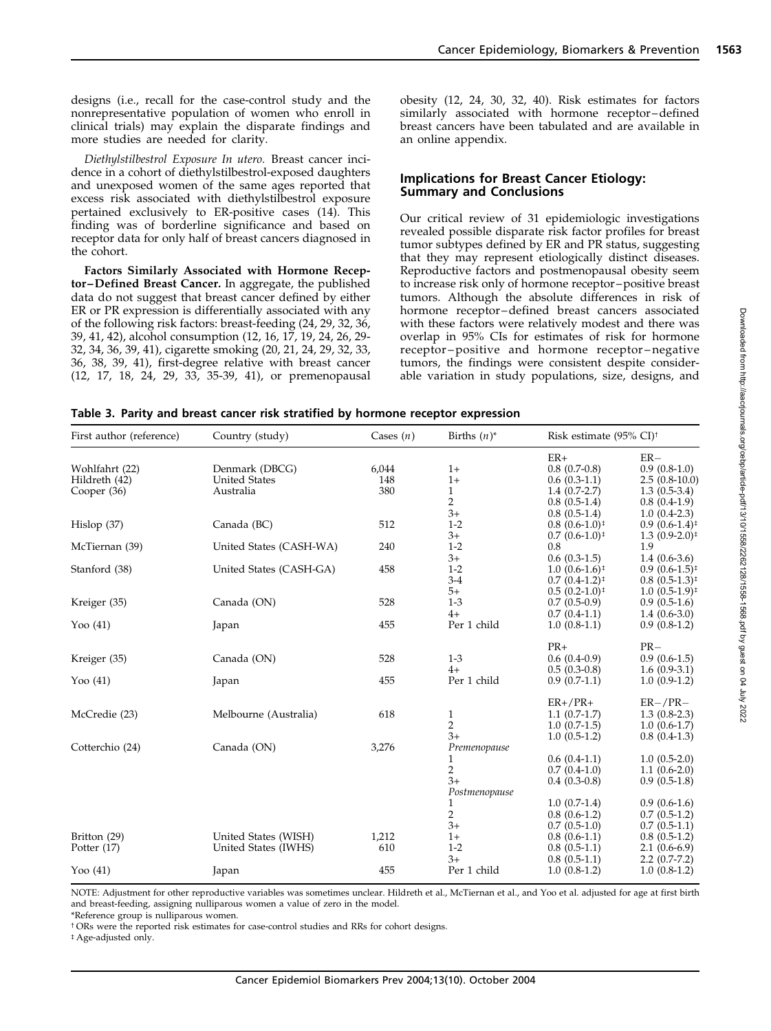designs (i.e., recall for the case-control study and the nonrepresentative population of women who enroll in clinical trials) may explain the disparate findings and more studies are needed for clarity.

Diethylstilbestrol Exposure In utero. Breast cancer incidence in a cohort of diethylstilbestrol-exposed daughters and unexposed women of the same ages reported that excess risk associated with diethylstilbestrol exposure pertained exclusively to ER-positive cases (14). This finding was of borderline significance and based on receptor data for only half of breast cancers diagnosed in the cohort.

Factors Similarly Associated with Hormone Receptor–Defined Breast Cancer. In aggregate, the published data do not suggest that breast cancer defined by either ER or PR expression is differentially associated with any of the following risk factors: breast-feeding (24, 29, 32, 36, 39, 41, 42), alcohol consumption (12, 16, 17, 19, 24, 26, 29- 32, 34, 36, 39, 41), cigarette smoking (20, 21, 24, 29, 32, 33, 36, 38, 39, 41), first-degree relative with breast cancer (12, 17, 18, 24, 29, 33, 35-39, 41), or premenopausal obesity (12, 24, 30, 32, 40). Risk estimates for factors similarly associated with hormone receptor–defined breast cancers have been tabulated and are available in an online appendix.

## Implications for Breast Cancer Etiology: Summary and Conclusions

Our critical review of 31 epidemiologic investigations revealed possible disparate risk factor profiles for breast tumor subtypes defined by ER and PR status, suggesting that they may represent etiologically distinct diseases. Reproductive factors and postmenopausal obesity seem to increase risk only of hormone receptor–positive breast tumors. Although the absolute differences in risk of hormone receptor–defined breast cancers associated with these factors were relatively modest and there was overlap in 95% CIs for estimates of risk for hormone receptor–positive and hormone receptor–negative tumors, the findings were consistent despite considerable variation in study populations, size, designs, and

| Table 3. Parity and breast cancer risk stratified by hormone receptor expression |  |  |  |  |  |  |
|----------------------------------------------------------------------------------|--|--|--|--|--|--|
|----------------------------------------------------------------------------------|--|--|--|--|--|--|

| First author (reference)                       | Country (study)                                     | Cases $(n)$         | Births $(n)^*$                                                          | Risk estimate (95% CI) <sup>†</sup>                                                                      |                                                                                                          |
|------------------------------------------------|-----------------------------------------------------|---------------------|-------------------------------------------------------------------------|----------------------------------------------------------------------------------------------------------|----------------------------------------------------------------------------------------------------------|
| Wohlfahrt (22)<br>Hildreth (42)<br>Cooper (36) | Denmark (DBCG)<br><b>United States</b><br>Australia | 6,044<br>148<br>380 | $1+$<br>$1+$<br>$\mathbf{1}$<br>$\overline{2}$                          | $ER+$<br>$0.8(0.7-0.8)$<br>$0.6(0.3-1.1)$<br>$1.4(0.7-2.7)$<br>$0.8(0.5-1.4)$                            | $ER-$<br>$0.9(0.8-1.0)$<br>$2.5(0.8-10.0)$<br>$1.3(0.5-3.4)$<br>$0.8(0.4-1.9)$                           |
| Hislop $(37)$                                  | Canada (BC)                                         | 512                 | $3+$<br>$1 - 2$<br>$3+$                                                 | $0.8(0.5-1.4)$<br>$0.8(0.6-1.0)^{\ddagger}$<br>$0.7(0.6-1.0)$ <sup><math>\ddagger</math></sup>           | $1.0(0.4-2.3)$<br>$0.9(0.6-1.4)^{\ddagger}$<br>$1.3(0.9-2.0)$ <sup><math>\ddagger</math></sup>           |
| McTiernan (39)                                 | United States (CASH-WA)                             | 240                 | $1 - 2$                                                                 | 0.8                                                                                                      | 1.9                                                                                                      |
| Stanford (38)                                  | United States (CASH-GA)                             | 458                 | $3+$<br>$1 - 2$<br>$3 - 4$                                              | $0.6(0.3-1.5)$<br>$1.0(0.6-1.6)^{\ddagger}$<br>$0.7(0.4-1.2)^{+}$                                        | $1.4(0.6-3.6)$<br>$0.9(0.6-1.5)^{\ddagger}$<br>$0.8(0.5-1.3)^{\ddagger}$                                 |
| Kreiger (35)                                   | Canada (ON)                                         | 528                 | $5+$<br>$1 - 3$<br>$4+$                                                 | $0.5(0.2-1.0)$ <sup>#</sup><br>$0.7(0.5-0.9)$<br>$0.7(0.4-1.1)$                                          | $1.0(0.5-1.9)$ <sup><math>\ddagger</math></sup><br>$0.9(0.5-1.6)$<br>$1.4(0.6-3.0)$                      |
| Yoo $(41)$                                     | Japan                                               | 455                 | Per 1 child                                                             | $1.0(0.8-1.1)$                                                                                           | $0.9(0.8-1.2)$                                                                                           |
| Kreiger (35)<br>Yoo $(41)$                     | Canada (ON)<br>Japan                                | 528<br>455          | $1 - 3$<br>$4+$<br>Per 1 child                                          | $PR+$<br>$0.6(0.4-0.9)$<br>$0.5(0.3-0.8)$<br>$0.9(0.7-1.1)$                                              | $PR-$<br>$0.9(0.6-1.5)$<br>$1.6(0.9-3.1)$<br>$1.0(0.9-1.2)$                                              |
| McCredie (23)                                  | Melbourne (Australia)                               | 618                 | 1<br>$\overline{2}$                                                     | $ER+/PR+$<br>$1.1(0.7-1.7)$<br>$1.0(0.7-1.5)$                                                            | $ER-/PR-$<br>$1.3(0.8-2.3)$<br>$1.0(0.6-1.7)$                                                            |
| Cotterchio (24)                                | Canada (ON)                                         | 3,276               | $3+$<br>Premenopause<br>1<br>2<br>$3+$                                  | $1.0(0.5-1.2)$<br>$0.6(0.4-1.1)$<br>$0.7(0.4-1.0)$<br>$0.4(0.3-0.8)$                                     | $0.8(0.4-1.3)$<br>$1.0(0.5-2.0)$<br>$1.1(0.6-2.0)$<br>$0.9(0.5-1.8)$                                     |
| Britton (29)<br>Potter (17)                    | United States (WISH)<br>United States (IWHS)        | 1,212<br>610        | Postmenopause<br>1<br>$\overline{2}$<br>$3+$<br>$1+$<br>$1 - 2$<br>$3+$ | $1.0(0.7-1.4)$<br>$0.8(0.6-1.2)$<br>$0.7(0.5-1.0)$<br>$0.8(0.6-1.1)$<br>$0.8(0.5-1.1)$<br>$0.8(0.5-1.1)$ | $0.9(0.6-1.6)$<br>$0.7(0.5-1.2)$<br>$0.7(0.5-1.1)$<br>$0.8(0.5-1.2)$<br>$2.1(0.6-6.9)$<br>$2.2(0.7-7.2)$ |
| Yoo $(41)$                                     | Japan                                               | 455                 | Per 1 child                                                             | $1.0(0.8-1.2)$                                                                                           | $1.0(0.8-1.2)$                                                                                           |

NOTE: Adjustment for other reproductive variables was sometimes unclear. Hildreth et al., McTiernan et al., and Yoo et al. adjusted for age at first birth and breast-feeding, assigning nulliparous women a value of zero in the model.

\*Reference group is nulliparous women.

<sup>†</sup> ORs were the reported risk estimates for case-control studies and RRs for cohort designs.

# Age-adjusted only.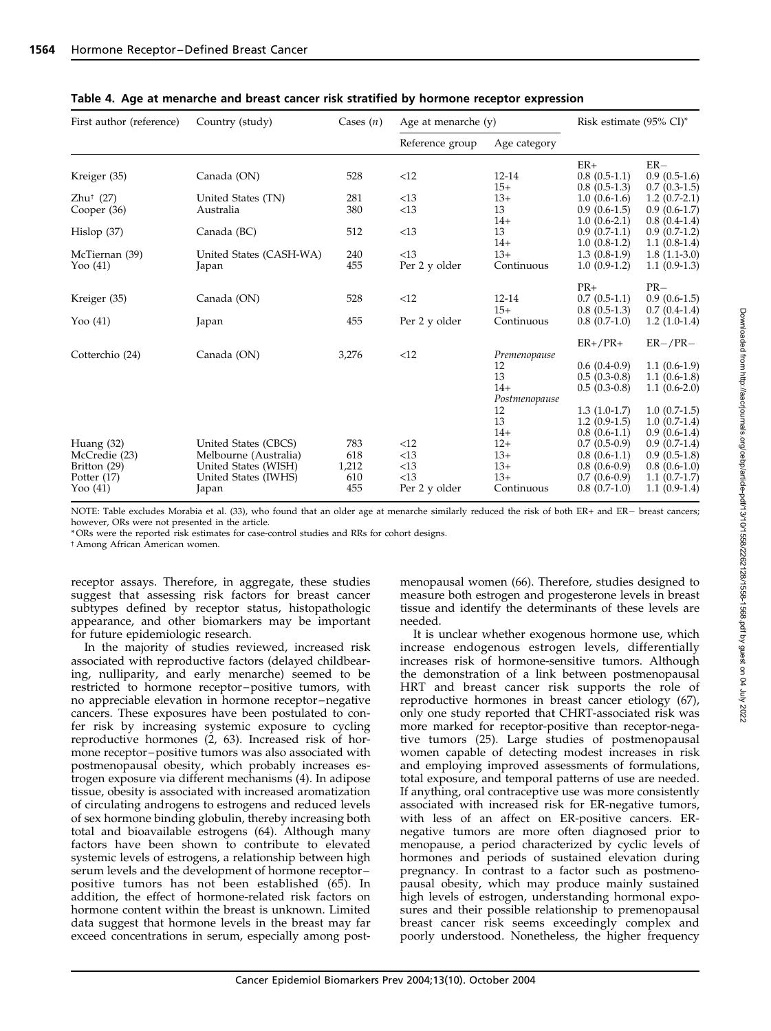| First author (reference) | Country (study)         | Cases $(n)$ | Age at menarche $(y)$ |               | Risk estimate (95% CI)* |                |
|--------------------------|-------------------------|-------------|-----------------------|---------------|-------------------------|----------------|
|                          |                         |             | Reference group       | Age category  |                         |                |
|                          |                         |             |                       |               | $ER+$                   | $ER-$          |
| Kreiger (35)             | Canada (ON)             | 528         | <12                   | $12 - 14$     | $0.8(0.5-1.1)$          | $0.9(0.5-1.6)$ |
|                          |                         |             |                       | $15+$         | $0.8(0.5-1.3)$          | $0.7(0.3-1.5)$ |
| $Zhu^{\dagger}$ (27)     | United States (TN)      | 281         | <13                   | $13+$         | $1.0(0.6-1.6)$          | $1.2(0.7-2.1)$ |
| Cooper (36)              | Australia               | 380         | <13                   | 13            | $0.9(0.6-1.5)$          | $0.9(0.6-1.7)$ |
|                          |                         |             |                       | $14+$         | $1.0(0.6-2.1)$          | $0.8(0.4-1.4)$ |
| Hislop(37)               | Canada (BC)             | 512         | <13                   | 13            | $0.9(0.7-1.1)$          | $0.9(0.7-1.2)$ |
|                          |                         |             |                       | $14+$         | $1.0(0.8-1.2)$          | $1.1(0.8-1.4)$ |
| McTiernan (39)           | United States (CASH-WA) | 240         | <13                   | $13+$         | $1.3(0.8-1.9)$          | $1.8(1.1-3.0)$ |
| Yoo $(41)$               | Japan                   | 455         | Per 2 y older         | Continuous    | $1.0(0.9-1.2)$          | $1.1(0.9-1.3)$ |
|                          |                         |             |                       |               | $PR+$                   | $PR-$          |
| Kreiger (35)             | Canada (ON)             | 528         | <12                   | $12 - 14$     | $0.7(0.5-1.1)$          | $0.9(0.6-1.5)$ |
|                          |                         |             |                       | $15+$         | $0.8(0.5-1.3)$          | $0.7(0.4-1.4)$ |
| Yoo $(41)$               | Japan                   | 455         | Per 2 y older         | Continuous    | $0.8(0.7-1.0)$          | $1.2(1.0-1.4)$ |
|                          |                         |             |                       |               | $ER+/PR+$               | $ER-/PR-$      |
| Cotterchio (24)          | Canada (ON)             | 3,276       | <12                   | Premenopause  |                         |                |
|                          |                         |             |                       | 12            | $0.6(0.4-0.9)$          | $1.1(0.6-1.9)$ |
|                          |                         |             |                       | 13            | $0.5(0.3-0.8)$          | $1.1(0.6-1.8)$ |
|                          |                         |             |                       | $14+$         | $0.5(0.3-0.8)$          | $1.1(0.6-2.0)$ |
|                          |                         |             |                       | Postmenopause |                         |                |
|                          |                         |             |                       | 12            | $1.3(1.0-1.7)$          | $1.0(0.7-1.5)$ |
|                          |                         |             |                       | 13            | $1.2(0.9-1.5)$          | $1.0(0.7-1.4)$ |
|                          |                         |             |                       | $14+$         | $0.8(0.6-1.1)$          | $0.9(0.6-1.4)$ |
| Huang (32)               | United States (CBCS)    | 783         | <12                   | $12+$         | $0.7(0.5-0.9)$          | $0.9(0.7-1.4)$ |
| McCredie (23)            | Melbourne (Australia)   | 618         | <13                   | $13+$         | $0.8(0.6-1.1)$          | $0.9(0.5-1.8)$ |
| Britton (29)             | United States (WISH)    | 1,212       | <13                   | $13+$         | $0.8(0.6-0.9)$          | $0.8(0.6-1.0)$ |
| Potter (17)              | United States (IWHS)    | 610         | <13                   | $13+$         | $0.7(0.6-0.9)$          | $1.1(0.7-1.7)$ |
| Yoo $(41)$               | Japan                   | 455         | Per 2 y older         | Continuous    | $0.8(0.7-1.0)$          | $1.1(0.9-1.4)$ |
|                          |                         |             |                       |               |                         |                |

|  | Table 4. Age at menarche and breast cancer risk stratified by hormone receptor expression |
|--|-------------------------------------------------------------------------------------------|
|  |                                                                                           |

NOTE: Table excludes Morabia et al. (33), who found that an older age at menarche similarly reduced the risk of both ER+ and ER- breast cancers; however, ORs were not presented in the article.

\* ORs were the reported risk estimates for case-control studies and RRs for cohort designs.

t Among African American women.

receptor assays. Therefore, in aggregate, these studies suggest that assessing risk factors for breast cancer subtypes defined by receptor status, histopathologic appearance, and other biomarkers may be important for future epidemiologic research.

In the majority of studies reviewed, increased risk associated with reproductive factors (delayed childbearing, nulliparity, and early menarche) seemed to be restricted to hormone receptor–positive tumors, with no appreciable elevation in hormone receptor–negative cancers. These exposures have been postulated to confer risk by increasing systemic exposure to cycling reproductive hormones (2, 63). Increased risk of hormone receptor–positive tumors was also associated with postmenopausal obesity, which probably increases estrogen exposure via different mechanisms (4). In adipose tissue, obesity is associated with increased aromatization of circulating androgens to estrogens and reduced levels of sex hormone binding globulin, thereby increasing both total and bioavailable estrogens (64). Although many factors have been shown to contribute to elevated systemic levels of estrogens, a relationship between high serum levels and the development of hormone receptor– positive tumors has not been established (65). In addition, the effect of hormone-related risk factors on hormone content within the breast is unknown. Limited data suggest that hormone levels in the breast may far exceed concentrations in serum, especially among postmenopausal women (66). Therefore, studies designed to measure both estrogen and progesterone levels in breast tissue and identify the determinants of these levels are needed.

It is unclear whether exogenous hormone use, which increase endogenous estrogen levels, differentially increases risk of hormone-sensitive tumors. Although the demonstration of a link between postmenopausal HRT and breast cancer risk supports the role of reproductive hormones in breast cancer etiology (67), only one study reported that CHRT-associated risk was more marked for receptor-positive than receptor-negative tumors (25). Large studies of postmenopausal women capable of detecting modest increases in risk and employing improved assessments of formulations, total exposure, and temporal patterns of use are needed. If anything, oral contraceptive use was more consistently associated with increased risk for ER-negative tumors, with less of an affect on ER-positive cancers. ERnegative tumors are more often diagnosed prior to menopause, a period characterized by cyclic levels of hormones and periods of sustained elevation during pregnancy. In contrast to a factor such as postmenopausal obesity, which may produce mainly sustained high levels of estrogen, understanding hormonal exposures and their possible relationship to premenopausal breast cancer risk seems exceedingly complex and poorly understood. Nonetheless, the higher frequency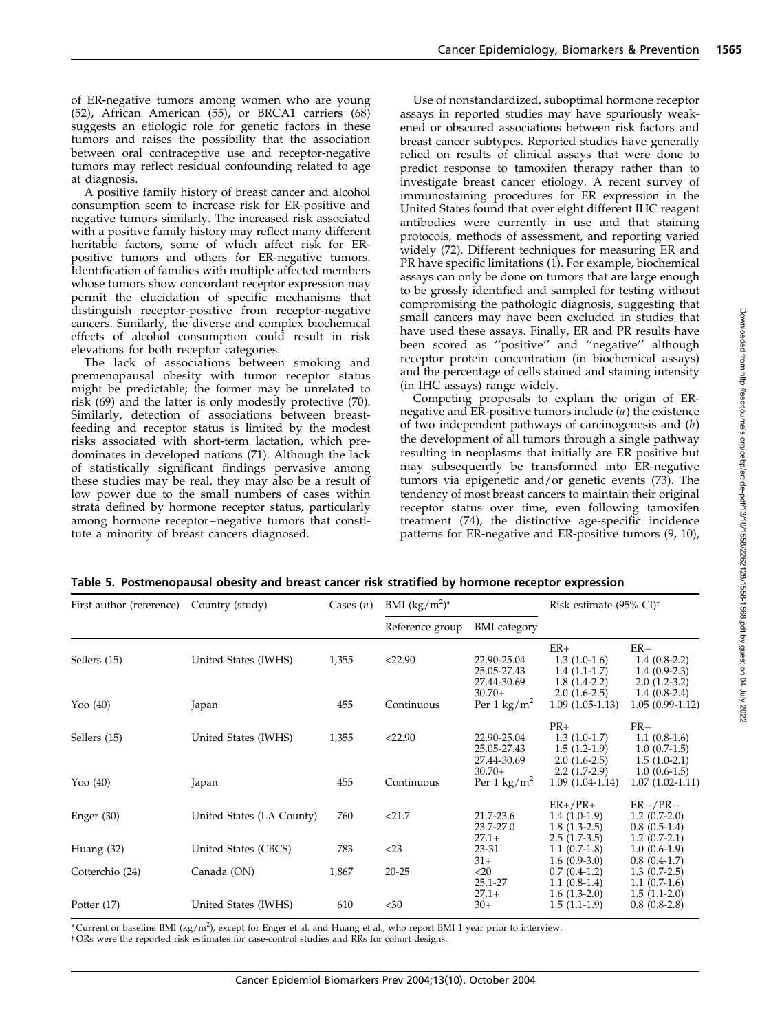of ER-negative tumors among women who are young (52), African American (55), or BRCA1 carriers (68) suggests an etiologic role for genetic factors in these tumors and raises the possibility that the association between oral contraceptive use and receptor-negative tumors may reflect residual confounding related to age at diagnosis.

A positive family history of breast cancer and alcohol consumption seem to increase risk for ER-positive and negative tumors similarly. The increased risk associated with a positive family history may reflect many different heritable factors, some of which affect risk for ERpositive tumors and others for ER-negative tumors. Identification of families with multiple affected members whose tumors show concordant receptor expression may permit the elucidation of specific mechanisms that distinguish receptor-positive from receptor-negative cancers. Similarly, the diverse and complex biochemical effects of alcohol consumption could result in risk elevations for both receptor categories.

The lack of associations between smoking and premenopausal obesity with tumor receptor status might be predictable; the former may be unrelated to risk (69) and the latter is only modestly protective (70). Similarly, detection of associations between breastfeeding and receptor status is limited by the modest risks associated with short-term lactation, which predominates in developed nations (71). Although the lack of statistically significant findings pervasive among these studies may be real, they may also be a result of low power due to the small numbers of cases within strata defined by hormone receptor status, particularly among hormone receptor–negative tumors that constitute a minority of breast cancers diagnosed.

Use of nonstandardized, suboptimal hormone receptor assays in reported studies may have spuriously weakened or obscured associations between risk factors and breast cancer subtypes. Reported studies have generally relied on results of clinical assays that were done to predict response to tamoxifen therapy rather than to investigate breast cancer etiology. A recent survey of immunostaining procedures for ER expression in the United States found that over eight different IHC reagent antibodies were currently in use and that staining protocols, methods of assessment, and reporting varied widely (72). Different techniques for measuring ER and PR have specific limitations (1). For example, biochemical assays can only be done on tumors that are large enough to be grossly identified and sampled for testing without compromising the pathologic diagnosis, suggesting that small cancers may have been excluded in studies that have used these assays. Finally, ER and PR results have been scored as ''positive'' and ''negative'' although receptor protein concentration (in biochemical assays) and the percentage of cells stained and staining intensity (in IHC assays) range widely.

Competing proposals to explain the origin of ERnegative and ER-positive tumors include (a) the existence of two independent pathways of carcinogenesis and  $(b)$ the development of all tumors through a single pathway resulting in neoplasms that initially are ER positive but may subsequently be transformed into ER-negative tumors via epigenetic and/or genetic events (73). The tendency of most breast cancers to maintain their original receptor status over time, even following tamoxifen treatment (74), the distinctive age-specific incidence patterns for ER-negative and ER-positive tumors (9, 10),

| First author (reference) | Country (study)           | Cases $(n)$ | BMI $(kg/m^2)^*$ |                                           | Risk estimate (95% CI) <sup>†</sup>                         |                                                             |
|--------------------------|---------------------------|-------------|------------------|-------------------------------------------|-------------------------------------------------------------|-------------------------------------------------------------|
|                          |                           |             | Reference group  | <b>BMI</b> category                       |                                                             |                                                             |
| Sellers (15)             | United States (IWHS)      | 1,355       | < 22.90          | 22.90-25.04<br>25.05-27.43<br>27.44-30.69 | $ER+$<br>$1.3(1.0-1.6)$<br>$1.4(1.1-1.7)$<br>$1.8(1.4-2.2)$ | $ER-$<br>$1.4(0.8-2.2)$<br>$1.4(0.9-2.3)$<br>$2.0(1.2-3.2)$ |
| Yoo $(40)$               | Japan                     | 455         | Continuous       | $30.70+$<br>Per 1 $\text{kg/m}^2$         | $2.0(1.6-2.5)$<br>$1.09(1.05-1.13)$                         | $1.4(0.8-2.4)$<br>$1.05(0.99-1.12)$                         |
| Sellers (15)             | United States (IWHS)      | 1,355       | < 22.90          | 22.90-25.04<br>25.05-27.43<br>27.44-30.69 | $PR+$<br>$1.3(1.0-1.7)$<br>$1.5(1.2-1.9)$<br>$2.0(1.6-2.5)$ | $PR-$<br>$1.1(0.8-1.6)$<br>$1.0(0.7-1.5)$<br>$1.5(1.0-2.1)$ |
| Yoo $(40)$               | Japan                     | 455         | Continuous       | $30.70+$<br>Per 1 $\text{kg/m}^2$         | $2.2(1.7-2.9)$<br>$1.09(1.04-1.14)$                         | $1.0(0.6-1.5)$<br>$1.07(1.02-1.11)$                         |
| Enger $(30)$             | United States (LA County) | 760         | < 21.7           | 21.7-23.6<br>23.7-27.0                    | $ER+/PR+$<br>$1.4(1.0-1.9)$<br>$1.8(1.3-2.5)$               | $ER-/PR-$<br>$1.2(0.7-2.0)$<br>$0.8(0.5-1.4)$               |
| Huang $(32)$             | United States (CBCS)      | 783         | $<$ 23           | $27.1+$<br>23-31                          | $2.5(1.7-3.5)$<br>$1.1(0.7-1.8)$                            | $1.2(0.7-2.1)$<br>$1.0(0.6-1.9)$                            |
| Cotterchio (24)          | Canada (ON)               | 1,867       | $20 - 25$        | $31+$<br>$<$ 20<br>25.1-27                | $1.6(0.9-3.0)$<br>$0.7(0.4-1.2)$<br>$1.1(0.8-1.4)$          | $0.8(0.4-1.7)$<br>$1.3(0.7-2.5)$<br>$1.1(0.7-1.6)$          |
| Potter $(17)$            | United States (IWHS)      | 610         | $30$             | $27.1+$<br>$30+$                          | $1.6(1.3-2.0)$<br>$1.5(1.1-1.9)$                            | $1.5(1.1-2.0)$<br>$0.8(0.8-2.8)$                            |

Table 5. Postmenopausal obesity and breast cancer risk stratified by hormone receptor expression

\* Current or baseline BMI (kg/m<sup>2</sup> ), except for Enger et al. and Huang et al., who report BMI 1 year prior to interview.

<sup>t</sup> ORs were the reported risk estimates for case-control studies and RRs for cohort designs.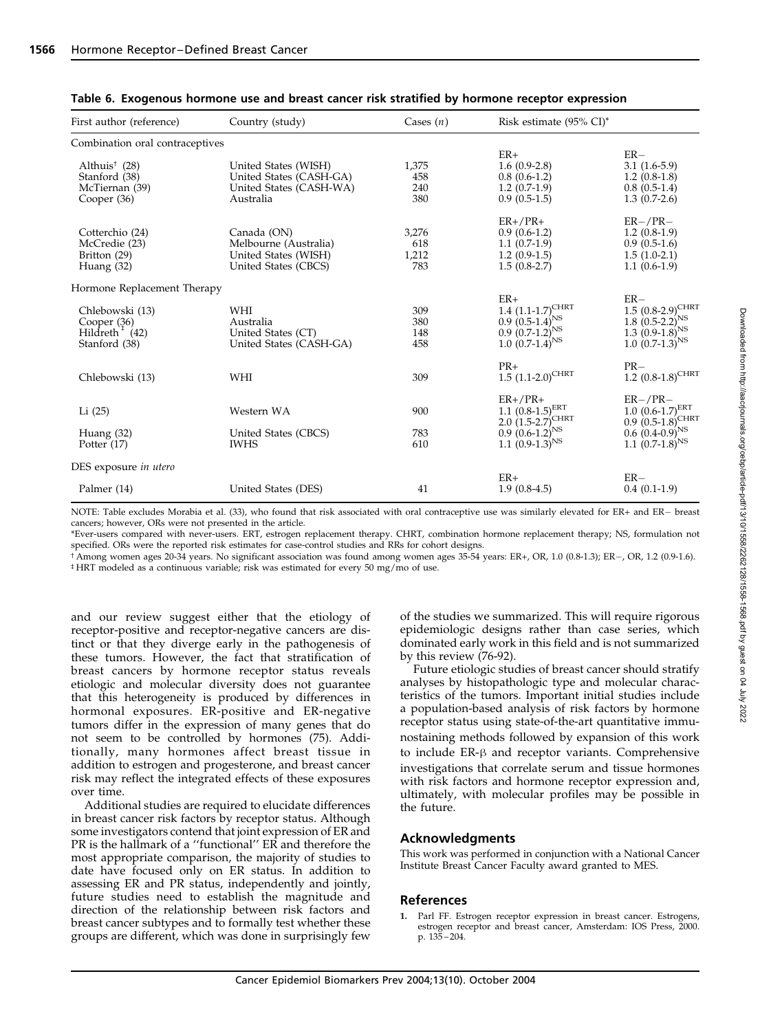| First author (reference)<br>Country (study) |                         | Cases $(n)$ | Risk estimate $(95\% \text{ CI})^*$                                                         |                                                           |  |
|---------------------------------------------|-------------------------|-------------|---------------------------------------------------------------------------------------------|-----------------------------------------------------------|--|
| Combination oral contraceptives             |                         |             |                                                                                             |                                                           |  |
|                                             |                         |             | $ER+$                                                                                       | $ER-$                                                     |  |
| Althuis <sup><math>†</math></sup> (28)      | United States (WISH)    | 1,375       | $1.6(0.9-2.8)$                                                                              | $3.1(1.6-5.9)$                                            |  |
| Stanford (38)                               | United States (CASH-GA) | 458         | $0.8(0.6-1.2)$                                                                              | $1.2(0.8-1.8)$                                            |  |
| McTiernan (39)                              | United States (CASH-WA) | 240         | $1.2(0.7-1.9)$                                                                              | $0.8(0.5-1.4)$                                            |  |
| Cooper $(36)$                               | Australia               | 380         | $0.9(0.5-1.5)$                                                                              | $1.3(0.7-2.6)$                                            |  |
|                                             |                         |             | $ER+/PR+$                                                                                   | $ER-/PR-$                                                 |  |
| Cotterchio (24)                             | Canada (ON)             | 3,276       | $0.9(0.6-1.2)$                                                                              | $1.2(0.8-1.9)$                                            |  |
| McCredie (23)                               | Melbourne (Australia)   | 618         | $1.1(0.7-1.9)$                                                                              | $0.9(0.5-1.6)$                                            |  |
| Britton (29)                                | United States (WISH)    | 1,212       | $1.2(0.9-1.5)$                                                                              | $1.5(1.0-2.1)$                                            |  |
| Huang (32)                                  | United States (CBCS)    | 783         | $1.5(0.8-2.7)$                                                                              | $1.1(0.6-1.9)$                                            |  |
| Hormone Replacement Therapy                 |                         |             |                                                                                             |                                                           |  |
|                                             |                         |             | $ER+$                                                                                       | $ER-$                                                     |  |
| Chlebowski (13)                             | WHI                     | 309         | 1.4 $(1.1-1.7)^{\text{CHRT}}$<br>0.9 $(0.5-1.4)^{\text{NS}}$<br>0.9 $(0.7-1.2)^{\text{NS}}$ | $1.5~(0.8-2.9)^{\text{CHRT}}$                             |  |
| Cooper (36)                                 | Australia               | 380         |                                                                                             |                                                           |  |
| Hildreth $^{+}$ (42)                        | United States (CT)      | 148         |                                                                                             | 1.8 $(0.5-2.2)^{NS}$<br>1.3 $(0.9-1.8)^{NS}$              |  |
| Stanford (38)                               | United States (CASH-GA) | 458         | $1.0(0.7-1.4)^{NS}$                                                                         | $1.0~(0.7-1.3)^{NS}$                                      |  |
|                                             |                         |             |                                                                                             |                                                           |  |
| Chlebowski (13)                             | WHI                     | 309         | $PR+$<br>$1.5$ $(1.1-2.0)$ <sup>CHRT</sup>                                                  | $PR-$<br>1.2 $(0.8-1.8)^{\text{CHRT}}$                    |  |
|                                             |                         |             |                                                                                             |                                                           |  |
|                                             |                         |             | $ER+/PR+$                                                                                   | $ER-/PR-$                                                 |  |
| Li (25)                                     | Western WA              | 900         | $1.1~(0.8-1.5)^{ERT}$                                                                       | $1.0$ $(0.6-1.7)$ <sup>ERT</sup><br>$0.9(0.5-1.8)^{CHRT}$ |  |
|                                             |                         |             | 2.0 $(1.5-2.7)^{\text{CHRT}}$<br>0.9 $(0.6-1.2)^{\text{NS}}$                                |                                                           |  |
| Huang (32)                                  | United States (CBCS)    | 783         |                                                                                             | $0.6(0.4-0.9)^{NS}$                                       |  |
| Potter $(17)$                               | <b>IWHS</b>             | 610         | 1.1 $(0.9-1.3)^{NS}$                                                                        | 1.1 $(0.7-1.8)^{NS}$                                      |  |
| DES exposure in utero                       |                         |             |                                                                                             |                                                           |  |
|                                             |                         |             | $ER+$                                                                                       | $ER-$                                                     |  |
| Palmer (14)                                 | United States (DES)     | 41          | $1.9(0.8-4.5)$                                                                              | $0.4(0.1-1.9)$                                            |  |
|                                             |                         |             |                                                                                             |                                                           |  |

#### Table 6. Exogenous hormone use and breast cancer risk stratified by hormone receptor expression

NOTE: Table excludes Morabia et al. (33), who found that risk associated with oral contraceptive use was similarly elevated for ER+ and ER- breast cancers; however, ORs were not presented in the article.

\*Ever-users compared with never-users. ERT, estrogen replacement therapy. CHRT, combination hormone replacement therapy; NS, formulation not specified. ORs were the reported risk estimates for case-control studies and RRs for cohort designs.

 $\hat{\tau}$ Among women ages 20-34 years. No significant association was found among women ages 35-54 years: ER+, OR, 1.0 (0.8-1.3); ER-, OR, 1.2 (0.9-1.6). <sup>‡</sup> HRT modeled as a continuous variable; risk was estimated for every 50 mg/mo of use.

and our review suggest either that the etiology of receptor-positive and receptor-negative cancers are distinct or that they diverge early in the pathogenesis of these tumors. However, the fact that stratification of breast cancers by hormone receptor status reveals etiologic and molecular diversity does not guarantee that this heterogeneity is produced by differences in hormonal exposures. ER-positive and ER-negative tumors differ in the expression of many genes that do not seem to be controlled by hormones (75). Additionally, many hormones affect breast tissue in addition to estrogen and progesterone, and breast cancer risk may reflect the integrated effects of these exposures over time.

Additional studies are required to elucidate differences in breast cancer risk factors by receptor status. Although some investigators contend that joint expression of ER and PR is the hallmark of a ''functional'' ER and therefore the most appropriate comparison, the majority of studies to date have focused only on ER status. In addition to assessing ER and PR status, independently and jointly, future studies need to establish the magnitude and direction of the relationship between risk factors and breast cancer subtypes and to formally test whether these groups are different, which was done in surprisingly few of the studies we summarized. This will require rigorous epidemiologic designs rather than case series, which dominated early work in this field and is not summarized by this review (76-92).

Future etiologic studies of breast cancer should stratify analyses by histopathologic type and molecular characteristics of the tumors. Important initial studies include a population-based analysis of risk factors by hormone receptor status using state-of-the-art quantitative immunostaining methods followed by expansion of this work to include  $ER- $\beta$  and receptor variants. Comprehensive$ investigations that correlate serum and tissue hormones with risk factors and hormone receptor expression and, ultimately, with molecular profiles may be possible in the future.

#### Acknowledgments

This work was performed in conjunction with a National Cancer Institute Breast Cancer Faculty award granted to MES.

## References

1. Parl FF. Estrogen receptor expression in breast cancer. Estrogens, estrogen receptor and breast cancer, Amsterdam: IOS Press, 2000. p. 135 – 204.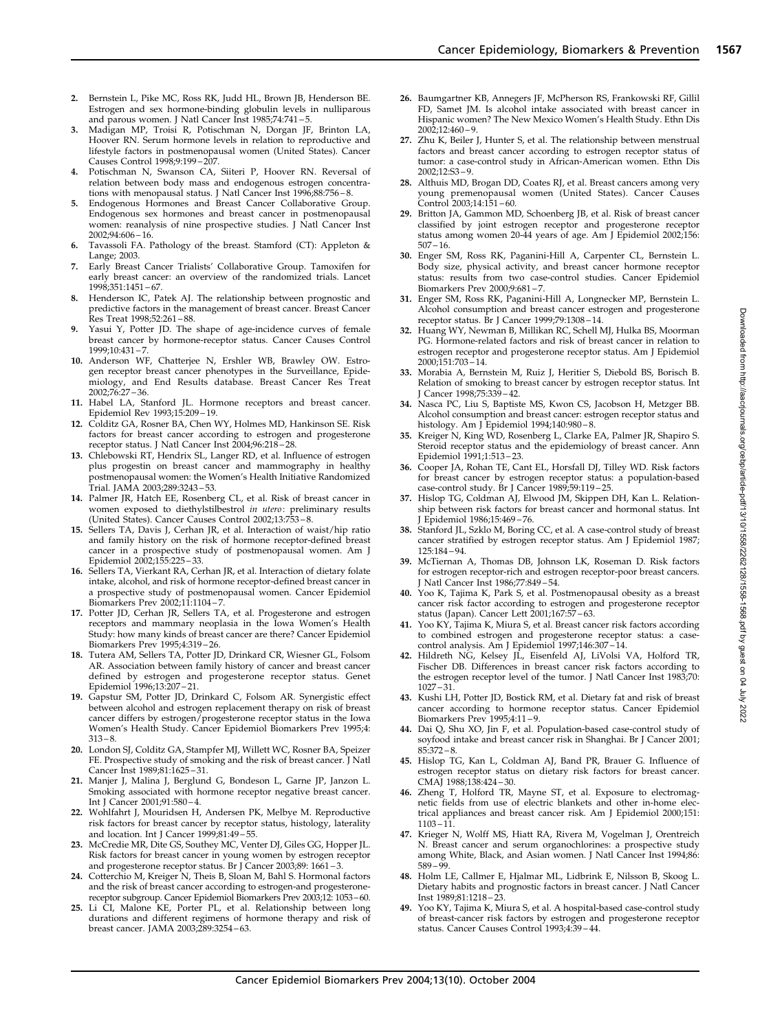- 2. Bernstein L, Pike MC, Ross RK, Judd HL, Brown JB, Henderson BE. Estrogen and sex hormone-binding globulin levels in nulliparous and parous women. J Natl Cancer Inst 1985;74:741 – 5.
- 3. Madigan MP, Troisi R, Potischman N, Dorgan JF, Brinton LA, Hoover RN. Serum hormone levels in relation to reproductive and lifestyle factors in postmenopausal women (United States). Cancer Causes Control 1998;9:199 – 207.
- 4. Potischman N, Swanson CA, Siiteri P, Hoover RN. Reversal of relation between body mass and endogenous estrogen concentrations with menopausal status. J Natl Cancer Inst 1996;88:756 – 8.
- Endogenous Hormones and Breast Cancer Collaborative Group. Endogenous sex hormones and breast cancer in postmenopausal women: reanalysis of nine prospective studies. J Natl Cancer Inst  $2002:94:606 - 16$
- 6. Tavassoli FA. Pathology of the breast. Stamford (CT): Appleton & Lange; 2003.
- 7. Early Breast Cancer Trialists' Collaborative Group. Tamoxifen for early breast cancer: an overview of the randomized trials. Lancet 1998;351:1451 – 67.
- Henderson IC, Patek AJ. The relationship between prognostic and predictive factors in the management of breast cancer. Breast Cancer Res Treat 1998;52:261 – 88.
- 9. Yasui Y, Potter JD. The shape of age-incidence curves of female breast cancer by hormone-receptor status. Cancer Causes Control 1999;10:431 – 7.
- 10. Anderson WF, Chatterjee N, Ershler WB, Brawley OW. Estrogen receptor breast cancer phenotypes in the Surveillance, Epidemiology, and End Results database. Breast Cancer Res Treat 2002;76:27 – 36.
- 11. Habel LA, Stanford JL. Hormone receptors and breast cancer. Epidemiol Rev 1993;15:209 – 19.
- 12. Colditz GA, Rosner BA, Chen WY, Holmes MD, Hankinson SE. Risk factors for breast cancer according to estrogen and progesterone receptor status. J Natl Cancer Inst 2004;96:218 – 28.
- 13. Chlebowski RT, Hendrix SL, Langer RD, et al. Influence of estrogen plus progestin on breast cancer and mammography in healthy postmenopausal women: the Women's Health Initiative Randomized Trial. JAMA 2003;289:3243 – 53.
- 14. Palmer JR, Hatch EE, Rosenberg CL, et al. Risk of breast cancer in women exposed to diethylstilbestrol in utero: preliminary results (United States). Cancer Causes Control 2002;13:753 – 8.
- 15. Sellers TA, Davis J, Cerhan JR, et al. Interaction of waist/hip ratio and family history on the risk of hormone receptor-defined breast cancer in a prospective study of postmenopausal women. Am J Epidemiol 2002;155:225 – 33.
- 16. Sellers TA, Vierkant RA, Cerhan JR, et al. Interaction of dietary folate intake, alcohol, and risk of hormone receptor-defined breast cancer in a prospective study of postmenopausal women. Cancer Epidemiol Biomarkers Prev 2002;11:1104 – 7.
- 17. Potter JD, Cerhan JR, Sellers TA, et al. Progesterone and estrogen receptors and mammary neoplasia in the Iowa Women's Health Study: how many kinds of breast cancer are there? Cancer Epidemiol Biomarkers Prev 1995;4:319 – 26.
- 18. Tutera AM, Sellers TA, Potter JD, Drinkard CR, Wiesner GL, Folsom AR. Association between family history of cancer and breast cancer defined by estrogen and progesterone receptor status. Genet Epidemiol 1996;13:207 – 21.
- 19. Gapstur SM, Potter JD, Drinkard C, Folsom AR. Synergistic effect between alcohol and estrogen replacement therapy on risk of breast cancer differs by estrogen/progesterone receptor status in the Iowa Women's Health Study. Cancer Epidemiol Biomarkers Prev 1995;4:  $313 - 8.$
- 20. London SJ, Colditz GA, Stampfer MJ, Willett WC, Rosner BA, Speizer FE. Prospective study of smoking and the risk of breast cancer. J Natl Cancer Inst 1989;81:1625 – 31.
- 21. Manjer J, Malina J, Berglund G, Bondeson L, Garne JP, Janzon L. Smoking associated with hormone receptor negative breast cancer. Int J Cancer 2001;91:580 – 4.
- 22. Wohlfahrt J, Mouridsen H, Andersen PK, Melbye M. Reproductive risk factors for breast cancer by receptor status, histology, laterality and location. Int J Cancer 1999;81:49 – 55.
- 23. McCredie MR, Dite GS, Southey MC, Venter DJ, Giles GG, Hopper JL. Risk factors for breast cancer in young women by estrogen receptor and progesterone receptor status. Br J Cancer 2003;89: 1661 – 3.
- 24. Cotterchio M, Kreiger N, Theis B, Sloan M, Bahl S. Hormonal factors and the risk of breast cancer according to estrogen-and progesteronereceptor subgroup. Cancer Epidemiol Biomarkers Prev 2003;12: 1053–60.
- 25. Li CI, Malone KE, Porter PL, et al. Relationship between long durations and different regimens of hormone therapy and risk of breast cancer. JAMA 2003;289:3254 – 63.
- 26. Baumgartner KB, Annegers JF, McPherson RS, Frankowski RF, Gillil FD, Samet JM. Is alcohol intake associated with breast cancer in Hispanic women? The New Mexico Women's Health Study. Ethn Dis 2002;12:460 – 9.
- 27. Zhu K, Beiler J, Hunter S, et al. The relationship between menstrual factors and breast cancer according to estrogen receptor status of tumor: a case-control study in African-American women. Ethn Dis  $2002:12:53 - 9$
- 28. Althuis MD, Brogan DD, Coates RJ, et al. Breast cancers among very young premenopausal women (United States). Cancer Causes Control 2003;14:151 – 60.
- 29. Britton JA, Gammon MD, Schoenberg JB, et al. Risk of breast cancer classified by joint estrogen receptor and progesterone receptor status among women 20-44 years of age. Am J Epidemiol 2002;156:  $507 - 16.$
- 30. Enger SM, Ross RK, Paganini-Hill A, Carpenter CL, Bernstein L. Body size, physical activity, and breast cancer hormone receptor status: results from two case-control studies. Cancer Epidemiol Biomarkers Prev 2000;9:681 – 7.
- 31. Enger SM, Ross RK, Paganini-Hill A, Longnecker MP, Bernstein L. Alcohol consumption and breast cancer estrogen and progesterone receptor status. Br J Cancer 1999;79:1308 – 14.
- 32. Huang WY, Newman B, Millikan RC, Schell MJ, Hulka BS, Moorman PG. Hormone-related factors and risk of breast cancer in relation to estrogen receptor and progesterone receptor status. Am J Epidemiol 2000;151:703 – 14.
- 33. Morabia A, Bernstein M, Ruiz J, Heritier S, Diebold BS, Borisch B. Relation of smoking to breast cancer by estrogen receptor status. Int J Cancer 1998;75:339 – 42.
- 34. Nasca PC, Liu S, Baptiste MS, Kwon CS, Jacobson H, Metzger BB. Alcohol consumption and breast cancer: estrogen receptor status and histology. Am J Epidemiol 1994;140:980 – 8.
- 35. Kreiger N, King WD, Rosenberg L, Clarke EA, Palmer JR, Shapiro S. Steroid receptor status and the epidemiology of breast cancer. Ann Epidemiol 1991;1:513 – 23.
- 36. Cooper JA, Rohan TE, Cant EL, Horsfall DJ, Tilley WD. Risk factors for breast cancer by estrogen receptor status: a population-based case-control study. Br J Cancer 1989;59:119 – 25.
- 37. Hislop TG, Coldman AJ, Elwood JM, Skippen DH, Kan L. Relationship between risk factors for breast cancer and hormonal status. Int J Epidemiol 1986;15:469 – 76.
- 38. Stanford JL, Szklo M, Boring CC, et al. A case-control study of breast cancer stratified by estrogen receptor status. Am J Epidemiol 1987; 125:184 – 94.
- 39. McTiernan A, Thomas DB, Johnson LK, Roseman D. Risk factors for estrogen receptor-rich and estrogen receptor-poor breast cancers. J Natl Cancer Inst 1986;77:849 – 54.
- 40. Yoo K, Tajima K, Park S, et al. Postmenopausal obesity as a breast cancer risk factor according to estrogen and progesterone receptor
- status (Japan). Cancer Lett 2001;167:57 63. 41. Yoo KY, Tajima K, Miura S, et al. Breast cancer risk factors according to combined estrogen and progesterone receptor status: a casecontrol analysis. Am J Epidemiol 1997;146:307 – 14.
- 42. Hildreth NG, Kelsey JL, Eisenfeld AJ, LiVolsi VA, Holford TR, Fischer DB. Differences in breast cancer risk factors according to the estrogen receptor level of the tumor. J Natl Cancer Inst 1983;70: 1027 – 31.
- 43. Kushi LH, Potter JD, Bostick RM, et al. Dietary fat and risk of breast cancer according to hormone receptor status. Cancer Epidemiol Biomarkers Prev 1995;4:11 – 9.
- 44. Dai Q, Shu XO, Jin F, et al. Population-based case-control study of soyfood intake and breast cancer risk in Shanghai. Br J Cancer 2001;  $85:372 - 8$
- 45. Hislop TG, Kan L, Coldman AJ, Band PR, Brauer G. Influence of estrogen receptor status on dietary risk factors for breast cancer. CMAJ 1988;138:424 – 30.
- 46. Zheng T, Holford TR, Mayne ST, et al. Exposure to electromagnetic fields from use of electric blankets and other in-home electrical appliances and breast cancer risk. Am J Epidemiol 2000;151: 1103 – 1<sup>1</sup>
- 47. Krieger N, Wolff MS, Hiatt RA, Rivera M, Vogelman J, Orentreich N. Breast cancer and serum organochlorines: a prospective study among White, Black, and Asian women. J Natl Cancer Inst 1994;86: 589 – 99.
- 48. Holm LE, Callmer E, Hjalmar ML, Lidbrink E, Nilsson B, Skoog L. Dietary habits and prognostic factors in breast cancer. J Natl Cancer Inst 1989;81:1218 – 23.
- 49. Yoo KY, Tajima K, Miura S, et al. A hospital-based case-control study of breast-cancer risk factors by estrogen and progesterone receptor status. Cancer Causes Control 1993;4:39 – 44.